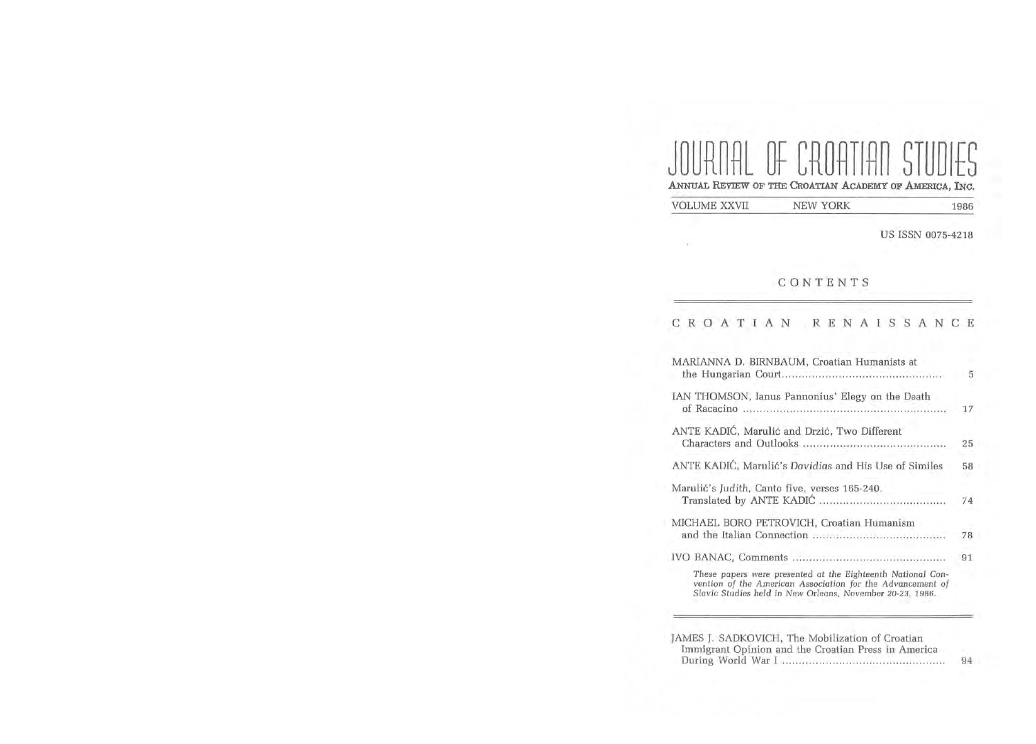# JOURNAL OF CROATIAN STUDIES ANNUAL REVIEW OF THE CROATIAN ACADEMY OF AMERICA, INC.

VOLUME XXVII NEW YORK 1986

 $\alpha$  .

US ISSN 0075-4218

## CONTENTS

|                                           |  |  |  |  |  | CROATIAN RENAISSANCE                                                                                                                                                                   |  |  |    |  |  |  |    |
|-------------------------------------------|--|--|--|--|--|----------------------------------------------------------------------------------------------------------------------------------------------------------------------------------------|--|--|----|--|--|--|----|
|                                           |  |  |  |  |  | MARIANNA D. BIRNBAUM, Croatian Humanists at                                                                                                                                            |  |  |    |  |  |  | -5 |
|                                           |  |  |  |  |  | IAN THOMSON, Ianus Pannonius' Elegy on the Death<br>of Racacino                                                                                                                        |  |  |    |  |  |  | 17 |
|                                           |  |  |  |  |  | ANTE KADIĆ, Marulić and Drzić, Two Different                                                                                                                                           |  |  |    |  |  |  | 25 |
|                                           |  |  |  |  |  | ANTE KADIĆ, Marulić's Davidias and His Use of Similes                                                                                                                                  |  |  |    |  |  |  | 58 |
|                                           |  |  |  |  |  | Marulić's Judith, Canto five, verses 165-240.                                                                                                                                          |  |  |    |  |  |  | 74 |
| MICHAEL BORO PETROVICH, Croatian Humanism |  |  |  |  |  |                                                                                                                                                                                        |  |  | 78 |  |  |  |    |
|                                           |  |  |  |  |  |                                                                                                                                                                                        |  |  |    |  |  |  | 91 |
|                                           |  |  |  |  |  | These papers were presented at the Eighteenth National Con-<br>vention of the American Association for the Advancement of<br>Slavic Studies held in New Orleans, November 20-23, 1986. |  |  |    |  |  |  |    |

| JAMES J. SADKOVICH, The Mobilization of Croatian    |    |
|-----------------------------------------------------|----|
| Immigrant Opinion and the Croatian Press in America |    |
|                                                     | 94 |